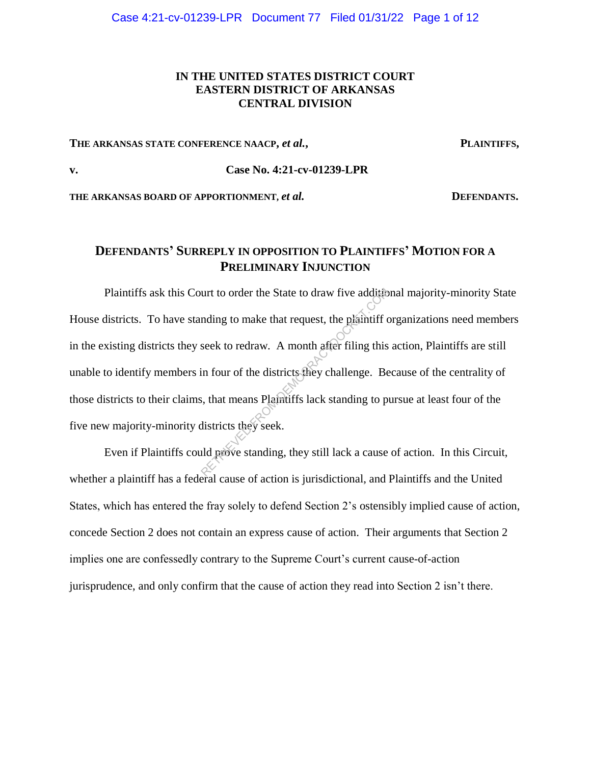## **IN THE UNITED STATES DISTRICT COURT EASTERN DISTRICT OF ARKANSAS CENTRAL DIVISION**

#### THE ARKANSAS STATE CONFERENCE NAACP, *et al.*, PLAINTIFFS,

### **v. Case No. 4:21-cv-01239-LPR**

THE ARKANSAS BOARD OF APPORTIONMENT, *et al.* **DEFENDANTS.** 

# **DEFENDANTS' SURREPLY IN OPPOSITION TO PLAINTIFFS' MOTION FOR A PRELIMINARY INJUNCTION**

Plaintiffs ask this Court to order the State to draw five additional majority-minority State House districts. To have standing to make that request, the plaintiff organizations need members in the existing districts they seek to redraw. A month after filing this action, Plaintiffs are still unable to identify members in four of the districts they challenge. Because of the centrality of those districts to their claims, that means Plaintiffs lack standing to pursue at least four of the five new majority-minority districts they seek. urt to order the State to draw five additional<br>
mding to make that request, the plaintiff c<br>
seek to redraw. A month after filing this<br>
in four of the districts they challenge. Be<br>
s, that means Plaintiffs lack standing to

Even if Plaintiffs could prove standing, they still lack a cause of action. In this Circuit, whether a plaintiff has a federal cause of action is jurisdictional, and Plaintiffs and the United States, which has entered the fray solely to defend Section 2's ostensibly implied cause of action, concede Section 2 does not contain an express cause of action. Their arguments that Section 2 implies one are confessedly contrary to the Supreme Court's current cause-of-action jurisprudence, and only confirm that the cause of action they read into Section 2 isn't there.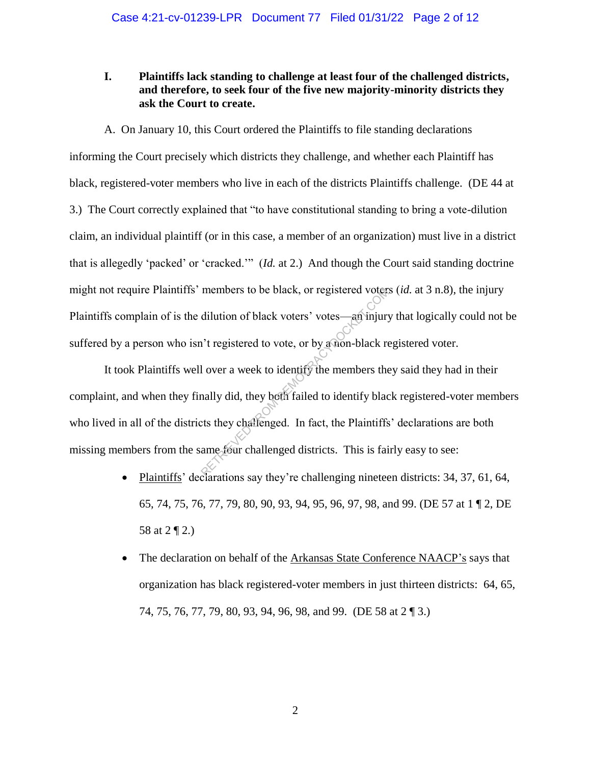## **I. Plaintiffs lack standing to challenge at least four of the challenged districts, and therefore, to seek four of the five new majority-minority districts they ask the Court to create.**

A. On January 10, this Court ordered the Plaintiffs to file standing declarations informing the Court precisely which districts they challenge, and whether each Plaintiff has black, registered-voter members who live in each of the districts Plaintiffs challenge. (DE 44 at 3.) The Court correctly explained that "to have constitutional standing to bring a vote-dilution claim, an individual plaintiff (or in this case, a member of an organization) must live in a district that is allegedly 'packed' or 'cracked.'" (*Id.* at 2.) And though the Court said standing doctrine might not require Plaintiffs' members to be black, or registered voters (*id.* at 3 n.8), the injury Plaintiffs complain of is the dilution of black voters' votes—an injury that logically could not be suffered by a person who isn't registered to vote, or by a non-black registered voter.

It took Plaintiffs well over a week to identify the members they said they had in their complaint, and when they finally did, they both failed to identify black registered-voter members who lived in all of the districts they challenged. In fact, the Plaintiffs' declarations are both missing members from the same four challenged districts. This is fairly easy to see: members to be black, or registered voter.<br>
dilution of black voters' votes—an injury<br>
i't registered to vote, or by a non-black re<br>
l over a week to identify the members the<br>
hally did, they both failed to identify black<br>

- Plaintiffs' declarations say they're challenging nineteen districts: 34, 37, 61, 64, 65, 74, 75, 76, 77, 79, 80, 90, 93, 94, 95, 96, 97, 98, and 99. (DE 57 at 1 ¶ 2, DE 58 at 2 ¶ 2.)
- The declaration on behalf of the Arkansas State Conference NAACP's says that organization has black registered-voter members in just thirteen districts: 64, 65, 74, 75, 76, 77, 79, 80, 93, 94, 96, 98, and 99. (DE 58 at 2 ¶ 3.)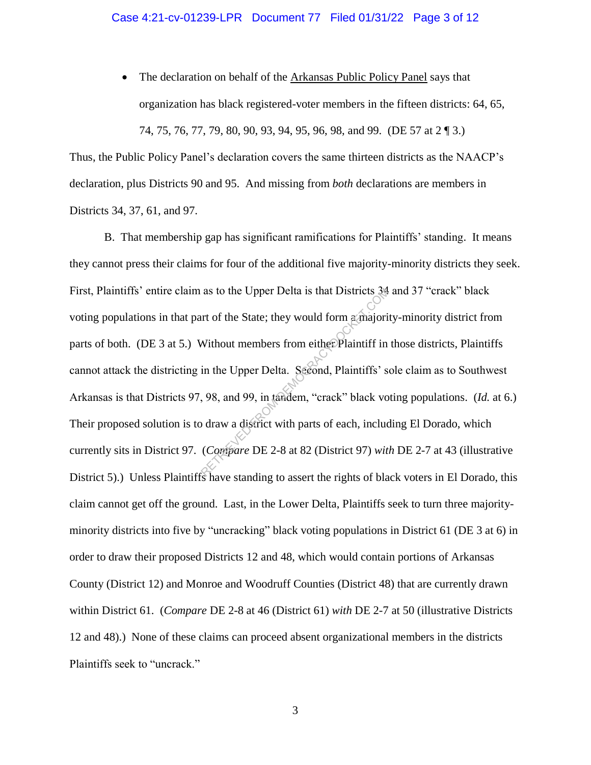• The declaration on behalf of the Arkansas Public Policy Panel says that organization has black registered-voter members in the fifteen districts: 64, 65, 74, 75, 76, 77, 79, 80, 90, 93, 94, 95, 96, 98, and 99. (DE 57 at 2 ¶ 3.)

Thus, the Public Policy Panel's declaration covers the same thirteen districts as the NAACP's declaration, plus Districts 90 and 95. And missing from *both* declarations are members in Districts 34, 37, 61, and 97.

B. That membership gap has significant ramifications for Plaintiffs' standing. It means they cannot press their claims for four of the additional five majority-minority districts they seek. First, Plaintiffs' entire claim as to the Upper Delta is that Districts 34 and 37 "crack" black voting populations in that part of the State; they would form a majority-minority district from parts of both. (DE 3 at 5.) Without members from either Plaintiff in those districts, Plaintiffs cannot attack the districting in the Upper Delta. Second, Plaintiffs' sole claim as to Southwest Arkansas is that Districts 97, 98, and 99, in tandem, "crack" black voting populations. (*Id.* at 6.) Their proposed solution is to draw a district with parts of each, including El Dorado, which currently sits in District 97. (*Compare* DE 2-8 at 82 (District 97) *with* DE 2-7 at 43 (illustrative District 5).) Unless Plaintiffs have standing to assert the rights of black voters in El Dorado, this claim cannot get off the ground. Last, in the Lower Delta, Plaintiffs seek to turn three majorityminority districts into five by "uncracking" black voting populations in District 61 (DE 3 at 6) in order to draw their proposed Districts 12 and 48, which would contain portions of Arkansas County (District 12) and Monroe and Woodruff Counties (District 48) that are currently drawn within District 61. (*Compare* DE 2-8 at 46 (District 61) *with* DE 2-7 at 50 (illustrative Districts 12 and 48).) None of these claims can proceed absent organizational members in the districts Plaintiffs seek to "uncrack." as to the Upper Delta is that Districts 34.<br>
In the State; they would form a majori<br>
Without members from either Plaintiff in<br>
in the Upper Delta. Second, Plaintiffs' s<br>
98, and 99, in tandem, "crack" black vo<br>
o draw a d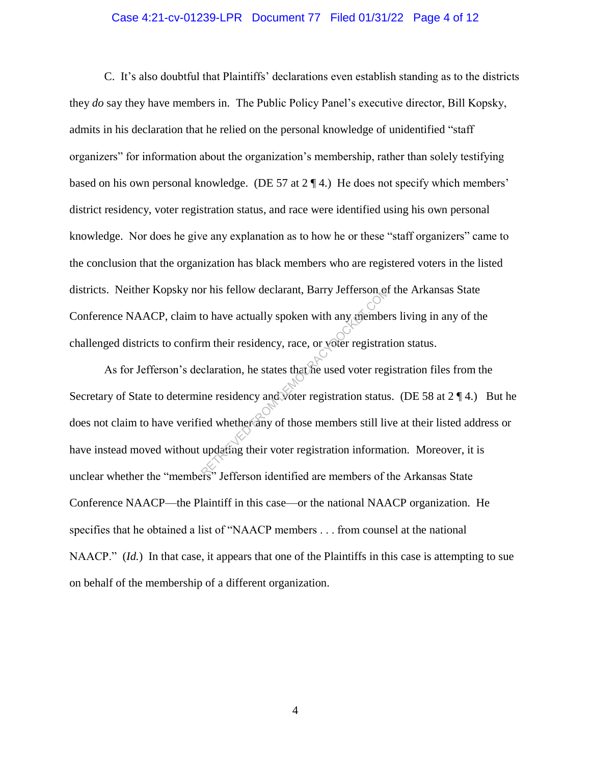#### Case 4:21-cv-01239-LPR Document 77 Filed 01/31/22 Page 4 of 12

C. It's also doubtful that Plaintiffs' declarations even establish standing as to the districts they *do* say they have members in. The Public Policy Panel's executive director, Bill Kopsky, admits in his declaration that he relied on the personal knowledge of unidentified "staff organizers" for information about the organization's membership, rather than solely testifying based on his own personal knowledge. (DE 57 at 2 ¶ 4.) He does not specify which members' district residency, voter registration status, and race were identified using his own personal knowledge. Nor does he give any explanation as to how he or these "staff organizers" came to the conclusion that the organization has black members who are registered voters in the listed districts. Neither Kopsky nor his fellow declarant, Barry Jefferson of the Arkansas State Conference NAACP, claim to have actually spoken with any members living in any of the challenged districts to confirm their residency, race, or voter registration status.

As for Jefferson's declaration, he states that he used voter registration files from the Secretary of State to determine residency and voter registration status. (DE 58 at 2 ¶ 4.) But he does not claim to have verified whether any of those members still live at their listed address or have instead moved without updating their voter registration information. Moreover, it is unclear whether the "members" Jefferson identified are members of the Arkansas State Conference NAACP—the Plaintiff in this case—or the national NAACP organization. He specifies that he obtained a list of "NAACP members . . . from counsel at the national NAACP." *(Id.)* In that case, it appears that one of the Plaintiffs in this case is attempting to sue on behalf of the membership of a different organization. or his fellow declarant, Barry Jefferson of<br>to have actually spoken with any member<br>m their residency, race, or voter registrat<br>claration, he states that he used voter reg<br>ne residency and voter registration status<br>ed whet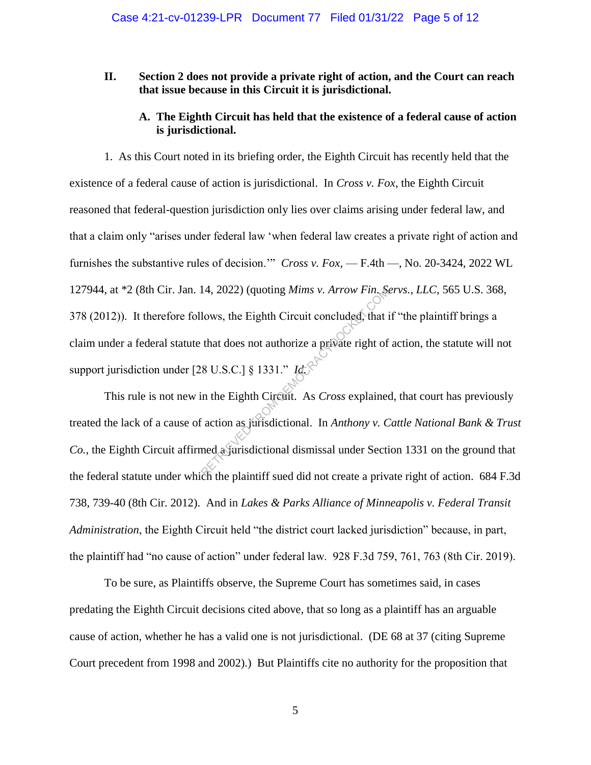### **II. Section 2 does not provide a private right of action, and the Court can reach that issue because in this Circuit it is jurisdictional.**

## **A. The Eighth Circuit has held that the existence of a federal cause of action is jurisdictional.**

1. As this Court noted in its briefing order, the Eighth Circuit has recently held that the existence of a federal cause of action is jurisdictional. In *Cross v. Fox*, the Eighth Circuit reasoned that federal-question jurisdiction only lies over claims arising under federal law, and that a claim only "arises under federal law 'when federal law creates a private right of action and furnishes the substantive rules of decision.'" *Cross v. Fox*, — F.4th —, No. 20-3424, 2022 WL 127944, at \*2 (8th Cir. Jan. 14, 2022) (quoting *Mims v. Arrow Fin. Servs., LLC*, 565 U.S. 368, 378 (2012)). It therefore follows, the Eighth Circuit concluded, that if "the plaintiff brings a claim under a federal statute that does not authorize a private right of action, the statute will not support jurisdiction under [28 U.S.C.] § 1331." *Id.* 14, 2022) (quoting *Mims v. Arrow Fin.* Solows, the Eighth Circuit concluded, that if that does not authorize a private right of  $(8 \text{ U.S.C.}]$   $(8 \text{ I.S.C.}]$   $(8 \text{ I.S.C.}]$   $(8 \text{ I.S.C.}]$   $(8 \text{ I.S.C.}]$   $(8 \text{ I.S.C.}]$   $(8 \text{ I.S.C.}]$ 

This rule is not new in the Eighth Circuit. As *Cross* explained, that court has previously treated the lack of a cause of action as jurisdictional. In *Anthony v. Cattle National Bank & Trust Co.*, the Eighth Circuit affirmed a jurisdictional dismissal under Section 1331 on the ground that the federal statute under which the plaintiff sued did not create a private right of action. 684 F.3d 738, 739-40 (8th Cir. 2012). And in *Lakes & Parks Alliance of Minneapolis v. Federal Transit Administration*, the Eighth Circuit held "the district court lacked jurisdiction" because, in part, the plaintiff had "no cause of action" under federal law. 928 F.3d 759, 761, 763 (8th Cir. 2019).

To be sure, as Plaintiffs observe, the Supreme Court has sometimes said, in cases predating the Eighth Circuit decisions cited above, that so long as a plaintiff has an arguable cause of action, whether he has a valid one is not jurisdictional. (DE 68 at 37 (citing Supreme Court precedent from 1998 and 2002).) But Plaintiffs cite no authority for the proposition that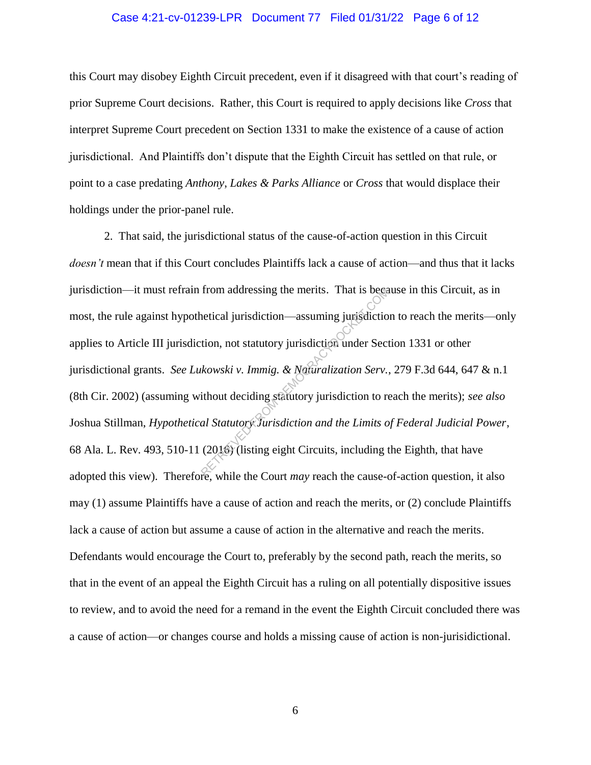#### Case 4:21-cv-01239-LPR Document 77 Filed 01/31/22 Page 6 of 12

this Court may disobey Eighth Circuit precedent, even if it disagreed with that court's reading of prior Supreme Court decisions. Rather, this Court is required to apply decisions like *Cross* that interpret Supreme Court precedent on Section 1331 to make the existence of a cause of action jurisdictional. And Plaintiffs don't dispute that the Eighth Circuit has settled on that rule, or point to a case predating *Anthony*, *Lakes & Parks Alliance* or *Cross* that would displace their holdings under the prior-panel rule.

2. That said, the jurisdictional status of the cause-of-action question in this Circuit *doesn't* mean that if this Court concludes Plaintiffs lack a cause of action—and thus that it lacks jurisdiction—it must refrain from addressing the merits. That is because in this Circuit, as in most, the rule against hypothetical jurisdiction—assuming jurisdiction to reach the merits—only applies to Article III jurisdiction, not statutory jurisdiction under Section 1331 or other jurisdictional grants. *See Lukowski v. Immig. & Naturalization Serv.*, 279 F.3d 644, 647 & n.1 (8th Cir. 2002) (assuming without deciding statutory jurisdiction to reach the merits); *see also* Joshua Stillman, *Hypothetical Statutory Jurisdiction and the Limits of Federal Judicial Power*, 68 Ala. L. Rev. 493, 510-11 (2016) (listing eight Circuits, including the Eighth, that have adopted this view). Therefore, while the Court *may* reach the cause-of-action question, it also may (1) assume Plaintiffs have a cause of action and reach the merits, or (2) conclude Plaintiffs lack a cause of action but assume a cause of action in the alternative and reach the merits. Defendants would encourage the Court to, preferably by the second path, reach the merits, so that in the event of an appeal the Eighth Circuit has a ruling on all potentially dispositive issues to review, and to avoid the need for a remand in the event the Eighth Circuit concluded there was a cause of action—or changes course and holds a missing cause of action is non-jurisidictional. From addressing the merits. That is because<br>
netical jurisdiction—assuming jurisdiction<br>
tion, not statutory jurisdiction under Sect<br>
kowski v. Immig. & Naturalization Serv.<br>
ithout deciding statutory jurisdiction to real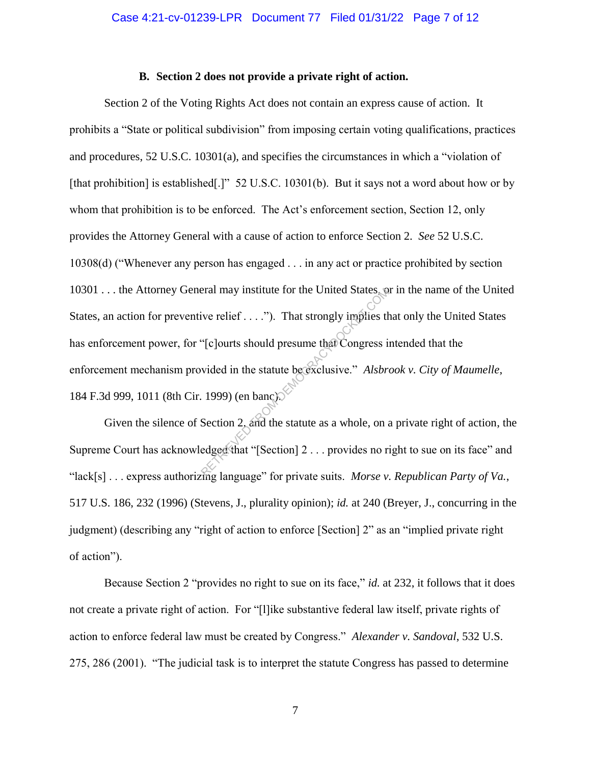### **B. Section 2 does not provide a private right of action.**

Section 2 of the Voting Rights Act does not contain an express cause of action. It prohibits a "State or political subdivision" from imposing certain voting qualifications, practices and procedures, 52 U.S.C. 10301(a), and specifies the circumstances in which a "violation of [that prohibition] is established[.]" 52 U.S.C. 10301(b). But it says not a word about how or by whom that prohibition is to be enforced. The Act's enforcement section, Section 12, only provides the Attorney General with a cause of action to enforce Section 2. *See* 52 U.S.C. 10308(d) ("Whenever any person has engaged . . . in any act or practice prohibited by section 10301 . . . the Attorney General may institute for the United States, or in the name of the United States, an action for preventive relief . . . ."). That strongly implies that only the United States has enforcement power, for "[c]ourts should presume that Congress intended that the enforcement mechanism provided in the statute be exclusive." *Alsbrook v. City of Maumelle*, 184 F.3d 999, 1011 (8th Cir. 1999) (en banc). Example 1999) (and the statute between that Congress is<br>  $\begin{pmatrix} \n\text{if } \n\text{if } \n\end{pmatrix}$  (clourts should presume that Congress is<br>
vided in the statute between that Congress is<br>
1999) (en banc)<br>
Section 2, and the statute

Given the silence of Section 2, and the statute as a whole, on a private right of action, the Supreme Court has acknowledged that "[Section] 2 . . . provides no right to sue on its face" and "lack[s] . . . express authorizing language" for private suits. *Morse v. Republican Party of Va.*, 517 U.S. 186, 232 (1996) (Stevens, J., plurality opinion); *id.* at 240 (Breyer, J., concurring in the judgment) (describing any "right of action to enforce [Section] 2" as an "implied private right of action").

Because Section 2 "provides no right to sue on its face," *id.* at 232, it follows that it does not create a private right of action. For "[l]ike substantive federal law itself, private rights of action to enforce federal law must be created by Congress." *Alexander v. Sandoval*, 532 U.S. 275, 286 (2001). "The judicial task is to interpret the statute Congress has passed to determine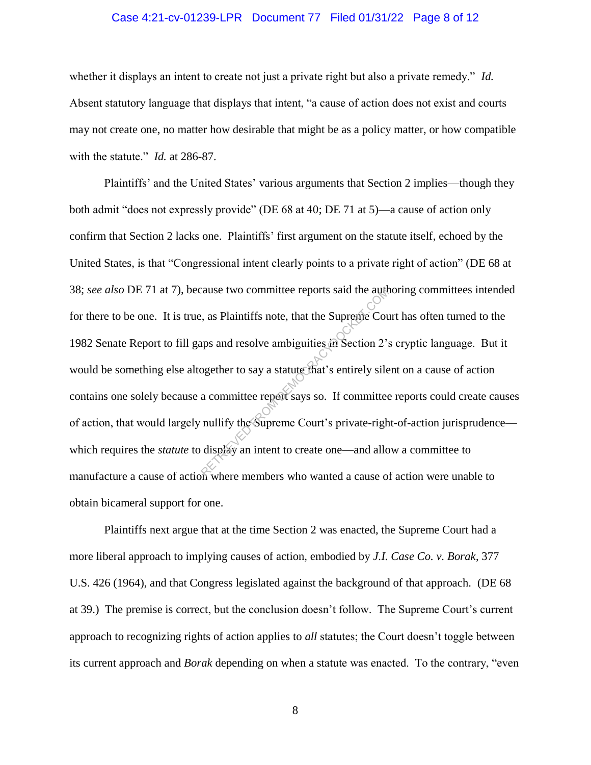### Case 4:21-cv-01239-LPR Document 77 Filed 01/31/22 Page 8 of 12

whether it displays an intent to create not just a private right but also a private remedy." *Id.* Absent statutory language that displays that intent, "a cause of action does not exist and courts may not create one, no matter how desirable that might be as a policy matter, or how compatible with the statute." *Id.* at 286-87.

Plaintiffs' and the United States' various arguments that Section 2 implies—though they both admit "does not expressly provide" (DE 68 at 40; DE 71 at 5)—a cause of action only confirm that Section 2 lacks one. Plaintiffs' first argument on the statute itself, echoed by the United States, is that "Congressional intent clearly points to a private right of action" (DE 68 at 38; *see also* DE 71 at 7), because two committee reports said the authoring committees intended for there to be one. It is true, as Plaintiffs note, that the Supreme Court has often turned to the 1982 Senate Report to fill gaps and resolve ambiguities in Section 2's cryptic language. But it would be something else altogether to say a statute that's entirely silent on a cause of action contains one solely because a committee report says so. If committee reports could create causes of action, that would largely nullify the Supreme Court's private-right-of-action jurisprudence which requires the *statute* to display an intent to create one—and allow a committee to manufacture a cause of action where members who wanted a cause of action were unable to obtain bicameral support for one. Examples and resolve ambiguities in Section 2's<br>the Supreme Court of Section 2's<br>ogether to say a statute that's entirely sile<br>a committee report says so. If committee<br>nullify the Supreme Court's private-righ<br>display an in

Plaintiffs next argue that at the time Section 2 was enacted, the Supreme Court had a more liberal approach to implying causes of action, embodied by *J.I. Case Co. v. Borak*, 377 U.S. 426 (1964), and that Congress legislated against the background of that approach. (DE 68 at 39.) The premise is correct, but the conclusion doesn't follow. The Supreme Court's current approach to recognizing rights of action applies to *all* statutes; the Court doesn't toggle between its current approach and *Borak* depending on when a statute was enacted. To the contrary, "even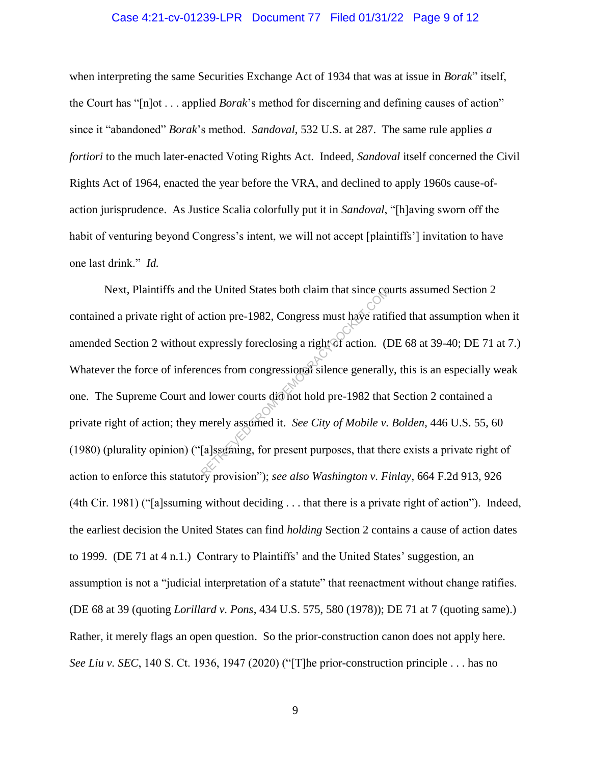#### Case 4:21-cv-01239-LPR Document 77 Filed 01/31/22 Page 9 of 12

when interpreting the same Securities Exchange Act of 1934 that was at issue in *Borak*" itself, the Court has "[n]ot . . . applied *Borak*'s method for discerning and defining causes of action" since it "abandoned" *Borak*'s method. *Sandoval*, 532 U.S. at 287. The same rule applies *a fortiori* to the much later-enacted Voting Rights Act. Indeed, *Sandoval* itself concerned the Civil Rights Act of 1964, enacted the year before the VRA, and declined to apply 1960s cause-ofaction jurisprudence. As Justice Scalia colorfully put it in *Sandoval*, "[h]aving sworn off the habit of venturing beyond Congress's intent, we will not accept [plaintiffs'] invitation to have one last drink." *Id.*

Next, Plaintiffs and the United States both claim that since courts assumed Section 2 contained a private right of action pre-1982, Congress must have ratified that assumption when it amended Section 2 without expressly foreclosing a right of action. (DE 68 at 39-40; DE 71 at 7.) Whatever the force of inferences from congressional silence generally, this is an especially weak one. The Supreme Court and lower courts did not hold pre-1982 that Section 2 contained a private right of action; they merely assumed it. *See City of Mobile v. Bolden*, 446 U.S. 55, 60 (1980) (plurality opinion) ("[a]ssuming, for present purposes, that there exists a private right of action to enforce this statutory provision"); *see also Washington v. Finlay*, 664 F.2d 913, 926 (4th Cir. 1981) ("[a]ssuming without deciding . . . that there is a private right of action"). Indeed, the earliest decision the United States can find *holding* Section 2 contains a cause of action dates to 1999. (DE 71 at 4 n.1.) Contrary to Plaintiffs' and the United States' suggestion, an assumption is not a "judicial interpretation of a statute" that reenactment without change ratifies. (DE 68 at 39 (quoting *Lorillard v. Pons*, 434 U.S. 575, 580 (1978)); DE 71 at 7 (quoting same).) Rather, it merely flags an open question. So the prior-construction canon does not apply here. *See Liu v. SEC*, 140 S. Ct. 1936, 1947 (2020) ("[T]he prior-construction principle . . . has no the United States both claim that since control of the United States both claim that since control action. (If expressly foreclosing a right of action. (If the state of the control of the discussion of the discussion of th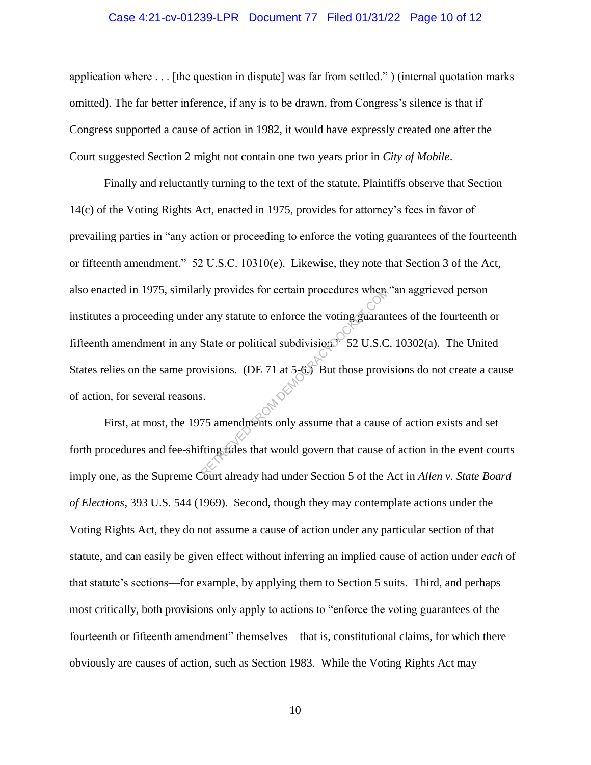#### Case 4:21-cv-01239-LPR Document 77 Filed 01/31/22 Page 10 of 12

application where . . . [the question in dispute] was far from settled." ) (internal quotation marks omitted). The far better inference, if any is to be drawn, from Congress's silence is that if Congress supported a cause of action in 1982, it would have expressly created one after the Court suggested Section 2 might not contain one two years prior in *City of Mobile*.

Finally and reluctantly turning to the text of the statute, Plaintiffs observe that Section 14(c) of the Voting Rights Act, enacted in 1975, provides for attorney's fees in favor of prevailing parties in "any action or proceeding to enforce the voting guarantees of the fourteenth or fifteenth amendment." 52 U.S.C. 10310(e). Likewise, they note that Section 3 of the Act, also enacted in 1975, similarly provides for certain procedures when "an aggrieved person institutes a proceeding under any statute to enforce the voting guarantees of the fourteenth or fifteenth amendment in any State or political subdivision.  $52 \text{ U.S.C. } 10302(a)$ . The United States relies on the same provisions. (DE 71 at 5-6.) But those provisions do not create a cause of action, for several reasons. Example 19 provides for certain procedures when<br>  $R = \frac{1}{2}$  any statute to enforce the voting guaran<br>
State or political subdivision  $\frac{1}{2}$  52 U.S.Com<br>
State or political subdivision  $\frac{1}{2}$  52 U.S.Com<br>
State or pol

First, at most, the 1975 amendments only assume that a cause of action exists and set forth procedures and fee-shifting rules that would govern that cause of action in the event courts imply one, as the Supreme Court already had under Section 5 of the Act in *Allen v. State Board of Elections*, 393 U.S. 544 (1969). Second, though they may contemplate actions under the Voting Rights Act, they do not assume a cause of action under any particular section of that statute, and can easily be given effect without inferring an implied cause of action under *each* of that statute's sections—for example, by applying them to Section 5 suits. Third, and perhaps most critically, both provisions only apply to actions to "enforce the voting guarantees of the fourteenth or fifteenth amendment" themselves—that is, constitutional claims, for which there obviously are causes of action, such as Section 1983. While the Voting Rights Act may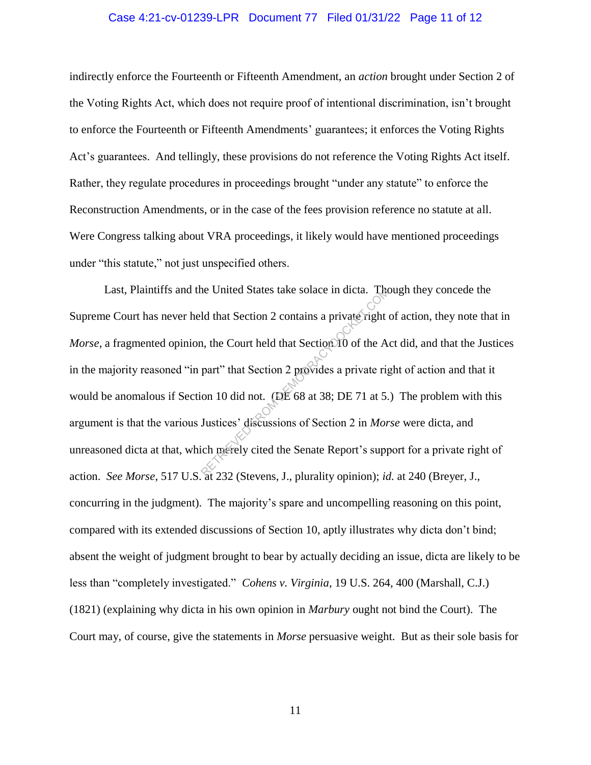#### Case 4:21-cv-01239-LPR Document 77 Filed 01/31/22 Page 11 of 12

indirectly enforce the Fourteenth or Fifteenth Amendment, an *action* brought under Section 2 of the Voting Rights Act, which does not require proof of intentional discrimination, isn't brought to enforce the Fourteenth or Fifteenth Amendments' guarantees; it enforces the Voting Rights Act's guarantees. And tellingly, these provisions do not reference the Voting Rights Act itself. Rather, they regulate procedures in proceedings brought "under any statute" to enforce the Reconstruction Amendments, or in the case of the fees provision reference no statute at all. Were Congress talking about VRA proceedings, it likely would have mentioned proceedings under "this statute," not just unspecified others.

Last, Plaintiffs and the United States take solace in dicta. Though they concede the Supreme Court has never held that Section 2 contains a private right of action, they note that in *Morse*, a fragmented opinion, the Court held that Section 10 of the Act did, and that the Justices in the majority reasoned "in part" that Section 2 provides a private right of action and that it would be anomalous if Section 10 did not. (DE 68 at 38; DE 71 at 5.) The problem with this argument is that the various Justices' discussions of Section 2 in *Morse* were dicta, and unreasoned dicta at that, which merely cited the Senate Report's support for a private right of action. *See Morse*, 517 U.S. at 232 (Stevens, J., plurality opinion); *id.* at 240 (Breyer, J., concurring in the judgment). The majority's spare and uncompelling reasoning on this point, compared with its extended discussions of Section 10, aptly illustrates why dicta don't bind; absent the weight of judgment brought to bear by actually deciding an issue, dicta are likely to be less than "completely investigated." *Cohens v. Virginia*, 19 U.S. 264, 400 (Marshall, C.J.) (1821) (explaining why dicta in his own opinion in *Marbury* ought not bind the Court). The Court may, of course, give the statements in *Morse* persuasive weight. But as their sole basis for The United States take solace in dicta. The<br>
ld that Section 2 contains a private right<br>
i., the Court held that Section 10 of the A<br>
part" that Section 2 provides a private rig<br>
on 10 did not. (DE 68 at 38; DE 71 at 5.<br>
J